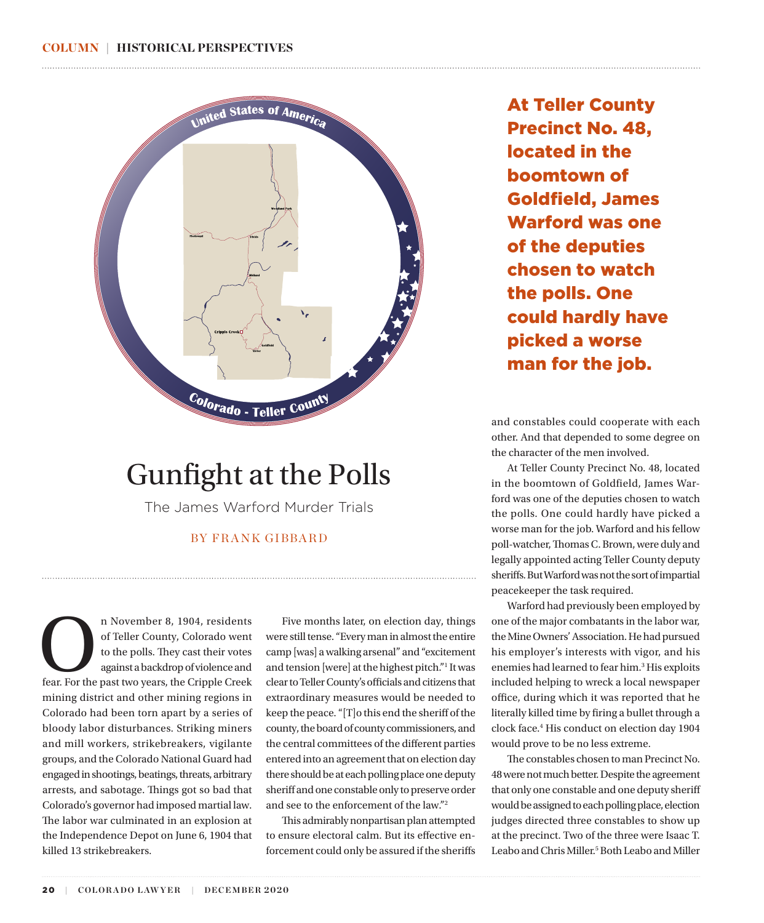<span id="page-0-0"></span>

## Gunfight at the Polls

The James Warford Murder Trials

#### BY FRANK GIBBARD

n November 8, 1904, residents<br>
of Teller County, Colorado went<br>
to the polls. They cast their votes<br>
against a backdrop of violence and<br>
fear. For the past two years, the Cripple Creek of Teller County, Colorado went to the polls. They cast their votes against a backdrop of violence and mining district and other mining regions in Colorado had been torn apart by a series of bloody labor disturbances. Striking miners and mill workers, strikebreakers, vigilante groups, and the Colorado National Guard had engaged in shootings, beatings, threats, arbitrary arrests, and sabotage. Things got so bad that Colorado's governor had imposed martial law. The labor war culminated in an explosion at the Independence Depot on June 6, 1904 that killed 13 strikebreakers.

Five months later, on election day, things were still tense. "Every man in almost the entire camp [was] a walking arsenal" and "excitement and tension [were] at the highest pitch.["1](#page-3-0) It was clear to Teller County's officials and citizens that extraordinary measures would be needed to keep the peace. "[T]o this end the sheriff of the county, the board of county commissioners, and the central committees of the different parties entered into an agreement that on election day there should be at each polling place one deputy sheriff and one constable only to preserve order and see to the enforcement of the law.["2](#page-3-0)

This admirably nonpartisan plan attempted to ensure electoral calm. But its effective enforcement could only be assured if the sheriffs At Teller County Precinct No. 48, located in the boomtown of Goldfield, James Warford was one of the deputies chosen to watch the polls. One could hardly have picked a worse man for the job.

and constables could cooperate with each other. And that depended to some degree on the character of the men involved.

At Teller County Precinct No. 48, located in the boomtown of Goldfield, James Warford was one of the deputies chosen to watch the polls. One could hardly have picked a worse man for the job. Warford and his fellow poll-watcher, Thomas C. Brown, were duly and legally appointed acting Teller County deputy sheriffs. But Warford was not the sort of impartial peacekeeper the task required.

Warford had previously been employed by one of the major combatants in the labor war, the Mine Owners' Association. He had pursued his employer's interests with vigor, and his enemies had learned to fear him.<sup>3</sup> His exploits included helping to wreck a local newspaper office, during which it was reported that he literally killed time by firing a bullet through a clock face[.4](#page-3-0) His conduct on election day 1904 would prove to be no less extreme.

The constables chosen to man Precinct No. 48 were not much better. Despite the agreement that only one constable and one deputy sheriff would be assigned to each polling place, election judges directed three constables to show up at the precinct. Two of the three were Isaac T. Leabo and Chris Miller.<sup>5</sup> Both Leabo and Miller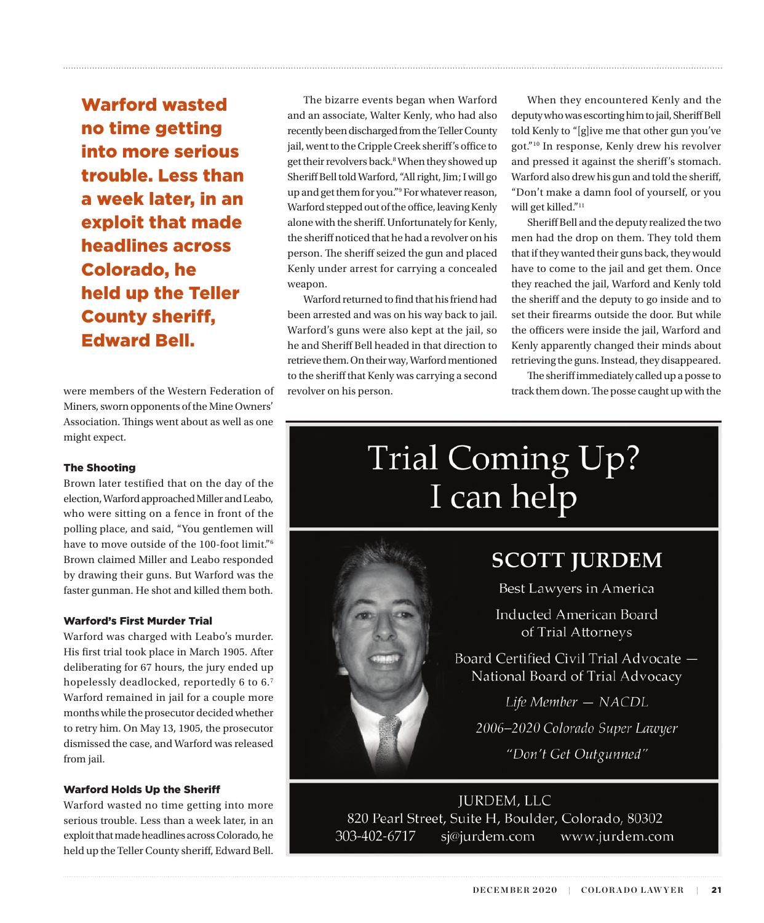<span id="page-1-0"></span>Warford wasted no time getting into more serious trouble. Less than a week later, in an exploit that made headlines across Colorado, he held up the Teller County sheriff, Edward Bell.

were members of the Western Federation of Miners, sworn opponents of the Mine Owners' Association. Things went about as well as one might expect.

#### The Shooting

Brown later testified that on the day of the election, Warford approached Miller and Leabo, who were sitting on a fence in front of the polling place, and said, "You gentlemen will have to move outside of the 100-foot limit.["6](#page-3-0) Brown claimed Miller and Leabo responded by drawing their guns. But Warford was the faster gunman. He shot and killed them both.

#### Warford's First Murder Trial

Warford was charged with Leabo's murder. His first trial took place in March 1905. After deliberating for 67 hours, the jury ended up hopelessly deadlocked, reportedly 6 to 6.[7](#page-3-0) Warford remained in jail for a couple more months while the prosecutor decided whether to retry him. On May 13, 1905, the prosecutor dismissed the case, and Warford was released from jail.

#### Warford Holds Up the Sheriff

Warford wasted no time getting into more serious trouble. Less than a week later, in an exploit that made headlines across Colorado, he held up the Teller County sheriff, Edward Bell.

The bizarre events began when Warford and an associate, Walter Kenly, who had also recently been discharged from the Teller County jail, went to the Cripple Creek sheriff's office to get their revolvers back.<sup>8</sup> When they showed up Sheriff Bell told Warford, "All right, Jim; I will go up and get them for you.["9](#page-3-0) For whatever reason, Warford stepped out of the office, leaving Kenly alone with the sheriff. Unfortunately for Kenly, the sheriff noticed that he had a revolver on his person. The sheriff seized the gun and placed Kenly under arrest for carrying a concealed weapon.

Warford returned to find that his friend had been arrested and was on his way back to jail. Warford's guns were also kept at the jail, so he and Sheriff Bell headed in that direction to retrieve them. On their way, Warford mentioned to the sheriff that Kenly was carrying a second revolver on his person.

When they encountered Kenly and the deputy who was escorting him to jail, Sheriff Bell told Kenly to "[g]ive me that other gun you've got.["10](#page-3-0) In response, Kenly drew his revolver and pressed it against the sheriff's stomach. Warford also drew his gun and told the sheriff, "Don't make a damn fool of yourself, or you will get killed."[11](#page-3-0)

Sheriff Bell and the deputy realized the two men had the drop on them. They told them that if they wanted their guns back, they would have to come to the jail and get them. Once they reached the jail, Warford and Kenly told the sheriff and the deputy to go inside and to set their firearms outside the door. But while the officers were inside the jail, Warford and Kenly apparently changed their minds about retrieving the guns. Instead, they disappeared.

The sheriff immediately called up a posse to track them down. The posse caught up with the

# Trial Coming Up? I can help



### **SCOTT JURDEM**

Best Lawyers in America

**Inducted American Board** of Trial Attorneys

Board Certified Civil Trial Advocate -National Board of Trial Advocacy

Life Member - NACDL

2006-2020 Colorado Super Lawyer

"Don't Get Outgunned"

**JURDEM, LLC** 820 Pearl Street, Suite H, Boulder, Colorado, 80302 303-402-6717 sj@jurdem.com www.jurdem.com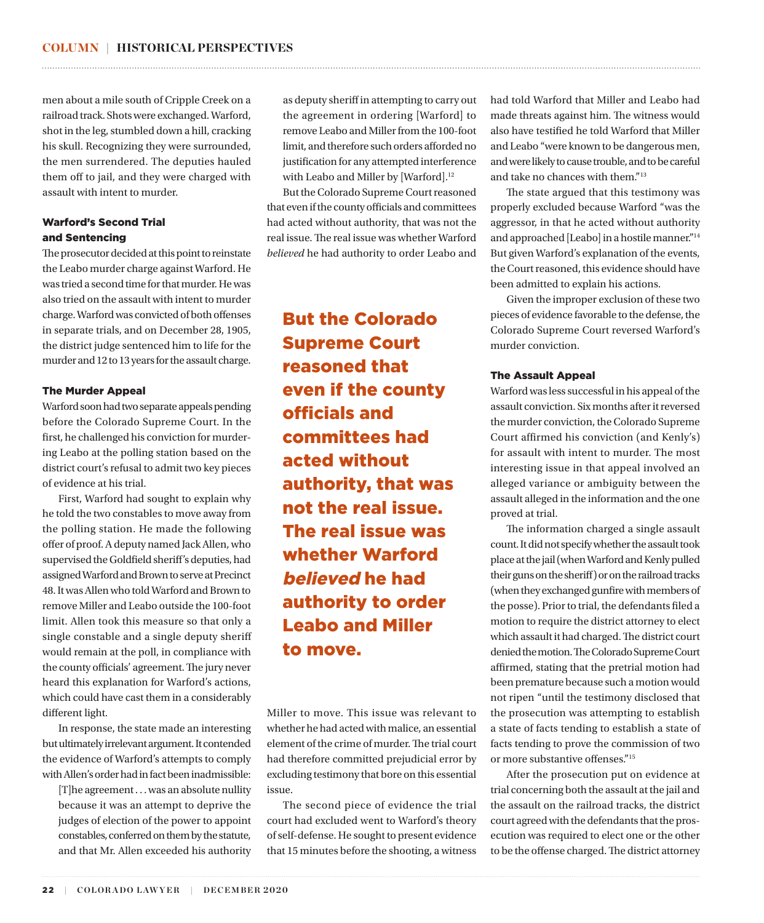men about a mile south of Cripple Creek on a railroad track. Shots were exchanged. Warford, shot in the leg, stumbled down a hill, cracking his skull. Recognizing they were surrounded, the men surrendered. The deputies hauled them off to jail, and they were charged with assault with intent to murder.

#### Warford's Second Trial and Sentencing

The prosecutor decided at this point to reinstate the Leabo murder charge against Warford. He was tried a second time for that murder. He was also tried on the assault with intent to murder charge. Warford was convicted of both offenses in separate trials, and on December 28, 1905, the district judge sentenced him to life for the murder and 12 to 13 years for the assault charge.

#### The Murder Appeal

Warford soon had two separate appeals pending before the Colorado Supreme Court. In the first, he challenged his conviction for murdering Leabo at the polling station based on the district court's refusal to admit two key pieces of evidence at his trial.

First, Warford had sought to explain why he told the two constables to move away from the polling station. He made the following offer of proof. A deputy named Jack Allen, who supervised the Goldfield sheriff's deputies, had assigned Warford and Brown to serve at Precinct 48. It was Allen who told Warford and Brown to remove Miller and Leabo outside the 100-foot limit. Allen took this measure so that only a single constable and a single deputy sheriff would remain at the poll, in compliance with the county officials' agreement. The jury never heard this explanation for Warford's actions, which could have cast them in a considerably different light.

In response, the state made an interesting but ultimately irrelevant argument. It contended the evidence of Warford's attempts to comply with Allen's order had in fact been inadmissible:

[T]he agreement . . . was an absolute nullity because it was an attempt to deprive the judges of election of the power to appoint constables, conferred on them by the statute, and that Mr. Allen exceeded his authority

as deputy sheriff in attempting to carry out the agreement in ordering [Warford] to remove Leabo and Miller from the 100-foot limit, and therefore such orders afforded no justification for any attempted interference with Leabo and Miller by [Warford].<sup>12</sup>

<span id="page-2-0"></span>

But the Colorado Supreme Court reasoned that even if the county officials and committees had acted without authority, that was not the real issue. The real issue was whether Warford *believed* he had authority to order Leabo and

But the Colorado Supreme Court reasoned that even if the county officials and committees had acted without authority, that was not the real issue. The real issue was whether Warford believed he had authority to order Leabo and Miller to move.

Miller to move. This issue was relevant to whether he had acted with malice, an essential element of the crime of murder. The trial court had therefore committed prejudicial error by excluding testimony that bore on this essential issue.

The second piece of evidence the trial court had excluded went to Warford's theory of self-defense. He sought to present evidence that 15 minutes before the shooting, a witness

had told Warford that Miller and Leabo had made threats against him. The witness would also have testified he told Warford that Miller and Leabo "were known to be dangerous men, and were likely to cause trouble, and to be careful and take no chances with them.["13](#page-3-0)

The state argued that this testimony was properly excluded because Warford "was the aggressor, in that he acted without authority and approached [Leabo] in a hostile manner."[14](#page-3-0) But given Warford's explanation of the events, the Court reasoned, this evidence should have been admitted to explain his actions.

Given the improper exclusion of these two pieces of evidence favorable to the defense, the Colorado Supreme Court reversed Warford's murder conviction.

#### The Assault Appeal

Warford was less successful in his appeal of the assault conviction. Six months after it reversed the murder conviction, the Colorado Supreme Court affirmed his conviction (and Kenly's) for assault with intent to murder. The most interesting issue in that appeal involved an alleged variance or ambiguity between the assault alleged in the information and the one proved at trial.

The information charged a single assault count. It did not specify whether the assault took place at the jail (when Warford and Kenly pulled their guns on the sheriff) or on the railroad tracks (when they exchanged gunfire with members of the posse). Prior to trial, the defendants filed a motion to require the district attorney to elect which assault it had charged. The district court denied the motion. The Colorado Supreme Court affirmed, stating that the pretrial motion had been premature because such a motion would not ripen "until the testimony disclosed that the prosecution was attempting to establish a state of facts tending to establish a state of facts tending to prove the commission of two or more substantive offenses."[15](#page-3-0)

After the prosecution put on evidence at trial concerning both the assault at the jail and the assault on the railroad tracks, the district court agreed with the defendants that the prosecution was required to elect one or the other to be the offense charged. The district attorney